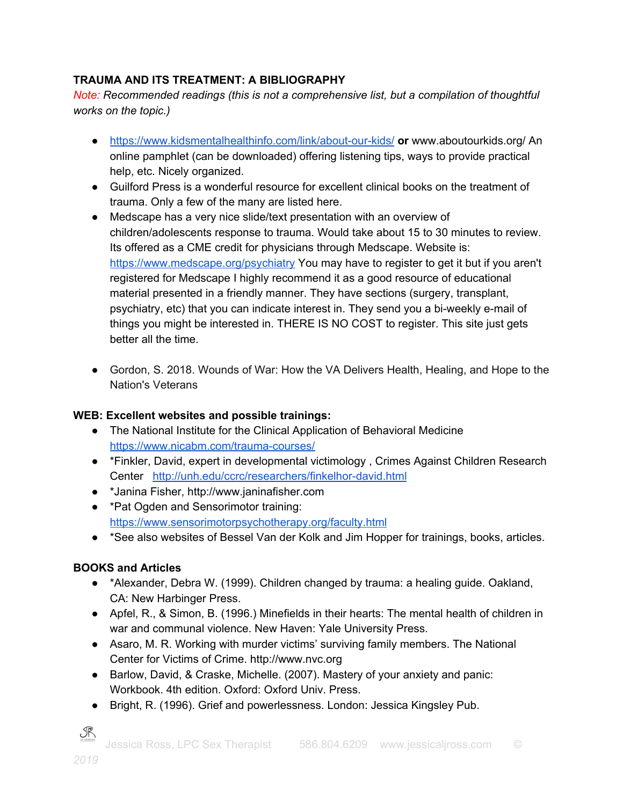## **TRAUMA AND ITS TREATMENT: A BIBLIOGRAPHY**

*Note: Recommended readings (this is not a comprehensive list, but a compilation of thoughtful works on the topic.)*

- <https://www.kidsmentalhealthinfo.com/link/about-our-kids/> **or** www.aboutourkids.org/ An online pamphlet (can be downloaded) offering listening tips, ways to provide practical help, etc. Nicely organized.
- Guilford Press is a wonderful resource for excellent clinical books on the treatment of trauma. Only a few of the many are listed here.
- Medscape has a very nice slide/text presentation with an overview of children/adolescents response to trauma. Would take about 15 to 30 minutes to review. Its offered as a CME credit for physicians through Medscape. Website is: <https://www.medscape.org/psychiatry> You may have to register to get it but if you aren't registered for Medscape I highly recommend it as a good resource of educational material presented in a friendly manner. They have sections (surgery, transplant, psychiatry, etc) that you can indicate interest in. They send you a bi-weekly e-mail of things you might be interested in. THERE IS NO COST to register. This site just gets better all the time.
- Gordon, S. 2018. Wounds of War: How the VA Delivers Health, Healing, and Hope to the Nation's Veterans

## **WEB: Excellent websites and possible trainings:**

- The National Institute for the Clinical Application of Behavioral Medicine <https://www.nicabm.com/trauma-courses/>
- \*Finkler, David, expert in developmental victimology , Crimes Against Children Research Center <http://unh.edu/ccrc/researchers/finkelhor-david.html>
- \*Janina Fisher, http://www.janinafisher.com
- \*Pat Ogden and Sensorimotor training: <https://www.sensorimotorpsychotherapy.org/faculty.html>
- \*See also websites of Bessel Van der Kolk and Jim Hopper for trainings, books, articles.

## **BOOKS and Articles**

- \*Alexander, Debra W. (1999). Children changed by trauma: a healing guide. Oakland, CA: New Harbinger Press.
- Apfel, R., & Simon, B. (1996.) Minefields in their hearts: The mental health of children in war and communal violence. New Haven: Yale University Press.
- Asaro, M. R. Working with murder victims' surviving family members. The National Center for Victims of Crime. http://www.nvc.org
- Barlow, David, & Craske, Michelle. (2007). Mastery of your anxiety and panic: Workbook. 4th edition. Oxford: Oxford Univ. Press.
- Bright, R. (1996). Grief and powerlessness. London: Jessica Kingsley Pub.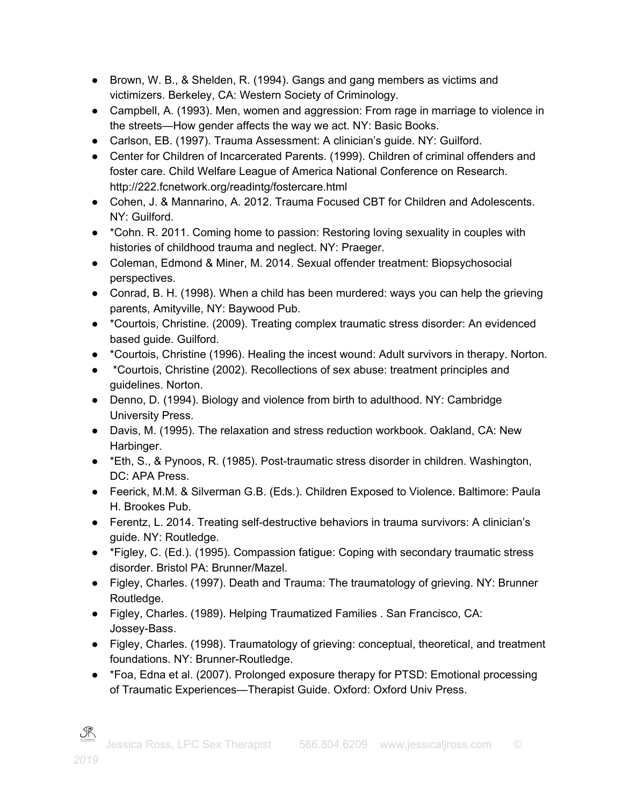- Brown, W. B., & Shelden, R. (1994). Gangs and gang members as victims and victimizers. Berkeley, CA: Western Society of Criminology.
- Campbell, A. (1993). Men, women and aggression: From rage in marriage to violence in the streets—How gender affects the way we act. NY: Basic Books.
- Carlson, EB. (1997). Trauma Assessment: A clinician's guide. NY: Guilford.
- Center for Children of Incarcerated Parents. (1999). Children of criminal offenders and foster care. Child Welfare League of America National Conference on Research. http://222.fcnetwork.org/readintg/fostercare.html
- Cohen, J. & Mannarino, A. 2012. Trauma Focused CBT for Children and Adolescents. NY: Guilford.
- \*Cohn. R. 2011. Coming home to passion: Restoring loving sexuality in couples with histories of childhood trauma and neglect. NY: Praeger.
- Coleman, Edmond & Miner, M. 2014. Sexual offender treatment: Biopsychosocial perspectives.
- Conrad, B. H. (1998). When a child has been murdered: ways you can help the grieving parents, Amityville, NY: Baywood Pub.
- \*Courtois, Christine. (2009). Treating complex traumatic stress disorder: An evidenced based guide. Guilford.
- \*Courtois, Christine (1996). Healing the incest wound: Adult survivors in therapy. Norton.
- \*Courtois, Christine (2002). Recollections of sex abuse: treatment principles and guidelines. Norton.
- Denno, D. (1994). Biology and violence from birth to adulthood. NY: Cambridge University Press.
- Davis, M. (1995). The relaxation and stress reduction workbook. Oakland, CA: New Harbinger.
- \*Eth, S., & Pynoos, R. (1985). Post-traumatic stress disorder in children. Washington, DC: APA Press.
- Feerick, M.M. & Silverman G.B. (Eds.). Children Exposed to Violence. Baltimore: Paula H. Brookes Pub.
- Ferentz, L. 2014. Treating self-destructive behaviors in trauma survivors: A clinician's guide. NY: Routledge.
- \*Figley, C. (Ed.). (1995). Compassion fatigue: Coping with secondary traumatic stress disorder. Bristol PA: Brunner/Mazel.
- Figley, Charles. (1997). Death and Trauma: The traumatology of grieving. NY: Brunner Routledge.
- Figley, Charles. (1989). Helping Traumatized Families . San Francisco, CA: Jossey-Bass.
- Figley, Charles. (1998). Traumatology of grieving: conceptual, theoretical, and treatment foundations. NY: Brunner-Routledge.
- \*Foa, Edna et al. (2007). Prolonged exposure therapy for PTSD: Emotional processing of Traumatic Experiences—Therapist Guide. Oxford: Oxford Univ Press.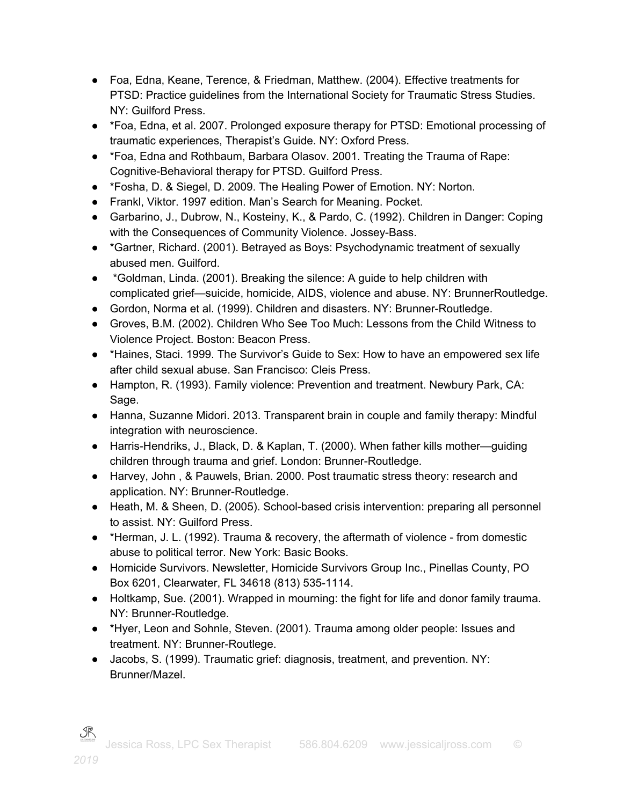- Foa, Edna, Keane, Terence, & Friedman, Matthew. (2004). Effective treatments for PTSD: Practice guidelines from the International Society for Traumatic Stress Studies. NY: Guilford Press.
- \*Foa, Edna, et al. 2007. Prolonged exposure therapy for PTSD: Emotional processing of traumatic experiences, Therapist's Guide. NY: Oxford Press.
- \*Foa, Edna and Rothbaum, Barbara Olasov. 2001. Treating the Trauma of Rape: Cognitive-Behavioral therapy for PTSD. Guilford Press.
- \*Fosha, D. & Siegel, D. 2009. The Healing Power of Emotion. NY: Norton.
- Frankl, Viktor. 1997 edition. Man's Search for Meaning. Pocket.
- Garbarino, J., Dubrow, N., Kosteiny, K., & Pardo, C. (1992). Children in Danger: Coping with the Consequences of Community Violence. Jossey-Bass.
- \*Gartner, Richard. (2001). Betrayed as Boys: Psychodynamic treatment of sexually abused men. Guilford.
- \*Goldman, Linda. (2001). Breaking the silence: A guide to help children with complicated grief—suicide, homicide, AIDS, violence and abuse. NY: BrunnerRoutledge.
- Gordon, Norma et al. (1999). Children and disasters. NY: Brunner-Routledge.
- Groves, B.M. (2002). Children Who See Too Much: Lessons from the Child Witness to Violence Project. Boston: Beacon Press.
- \*Haines, Staci. 1999. The Survivor's Guide to Sex: How to have an empowered sex life after child sexual abuse. San Francisco: Cleis Press.
- Hampton, R. (1993). Family violence: Prevention and treatment. Newbury Park, CA: Sage.
- Hanna, Suzanne Midori. 2013. Transparent brain in couple and family therapy: Mindful integration with neuroscience.
- Harris-Hendriks, J., Black, D. & Kaplan, T. (2000). When father kills mother—guiding children through trauma and grief. London: Brunner-Routledge.
- Harvey, John , & Pauwels, Brian. 2000. Post traumatic stress theory: research and application. NY: Brunner-Routledge.
- Heath, M. & Sheen, D. (2005). School-based crisis intervention: preparing all personnel to assist. NY: Guilford Press.
- \*Herman, J. L. (1992). Trauma & recovery, the aftermath of violence from domestic abuse to political terror. New York: Basic Books.
- Homicide Survivors. Newsletter, Homicide Survivors Group Inc., Pinellas County, PO Box 6201, Clearwater, FL 34618 (813) 535-1114.
- Holtkamp, Sue. (2001). Wrapped in mourning: the fight for life and donor family trauma. NY: Brunner-Routledge.
- \*Hyer, Leon and Sohnle, Steven. (2001). Trauma among older people: Issues and treatment. NY: Brunner-Routlege.
- Jacobs, S. (1999). Traumatic grief: diagnosis, treatment, and prevention. NY: Brunner/Mazel.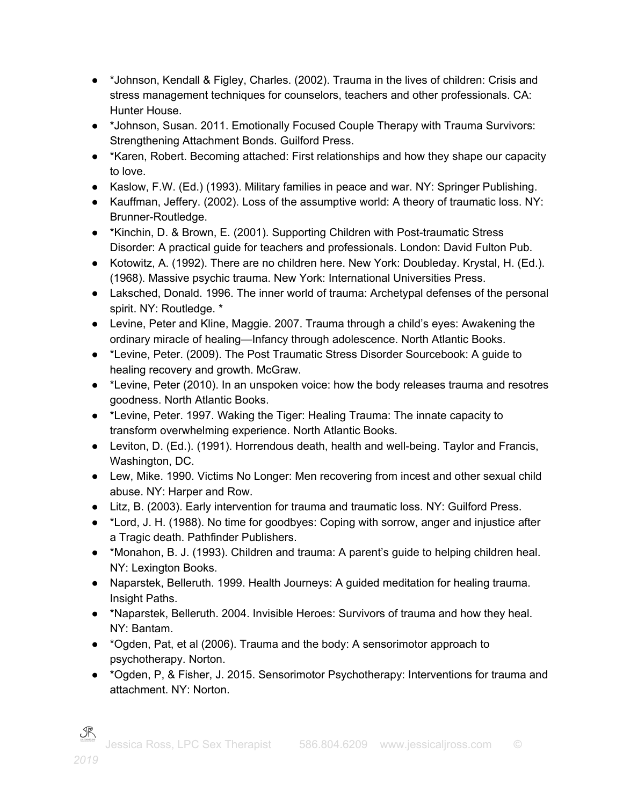- \*Johnson, Kendall & Figley, Charles. (2002). Trauma in the lives of children: Crisis and stress management techniques for counselors, teachers and other professionals. CA: Hunter House.
- \*Johnson, Susan. 2011. Emotionally Focused Couple Therapy with Trauma Survivors: Strengthening Attachment Bonds. Guilford Press.
- \*Karen, Robert. Becoming attached: First relationships and how they shape our capacity to love.
- Kaslow, F.W. (Ed.) (1993). Military families in peace and war. NY: Springer Publishing.
- Kauffman, Jeffery. (2002). Loss of the assumptive world: A theory of traumatic loss. NY: Brunner-Routledge.
- \*Kinchin, D. & Brown, E. (2001). Supporting Children with Post-traumatic Stress Disorder: A practical guide for teachers and professionals. London: David Fulton Pub.
- Kotowitz, A. (1992). There are no children here. New York: Doubleday. Krystal, H. (Ed.). (1968). Massive psychic trauma. New York: International Universities Press.
- Laksched, Donald. 1996. The inner world of trauma: Archetypal defenses of the personal spirit. NY: Routledge. \*
- Levine, Peter and Kline, Maggie. 2007. Trauma through a child's eyes: Awakening the ordinary miracle of healing—Infancy through adolescence. North Atlantic Books.
- \*Levine, Peter. (2009). The Post Traumatic Stress Disorder Sourcebook: A guide to healing recovery and growth. McGraw.
- \*Levine, Peter (2010). In an unspoken voice: how the body releases trauma and resotres goodness. North Atlantic Books.
- \*Levine, Peter. 1997. Waking the Tiger: Healing Trauma: The innate capacity to transform overwhelming experience. North Atlantic Books.
- Leviton, D. (Ed.). (1991). Horrendous death, health and well-being. Taylor and Francis, Washington, DC.
- Lew, Mike. 1990. Victims No Longer: Men recovering from incest and other sexual child abuse. NY: Harper and Row.
- Litz, B. (2003). Early intervention for trauma and traumatic loss. NY: Guilford Press.
- \*Lord, J. H. (1988). No time for goodbyes: Coping with sorrow, anger and injustice after a Tragic death. Pathfinder Publishers.
- \*Monahon, B. J. (1993). Children and trauma: A parent's guide to helping children heal. NY: Lexington Books.
- Naparstek, Belleruth. 1999. Health Journeys: A guided meditation for healing trauma. Insight Paths.
- \*Naparstek, Belleruth. 2004. Invisible Heroes: Survivors of trauma and how they heal. NY: Bantam.
- \*Ogden, Pat, et al (2006). Trauma and the body: A sensorimotor approach to psychotherapy. Norton.
- \*Ogden, P, & Fisher, J. 2015. Sensorimotor Psychotherapy: Interventions for trauma and attachment. NY: Norton.

 ${\mathcal R}$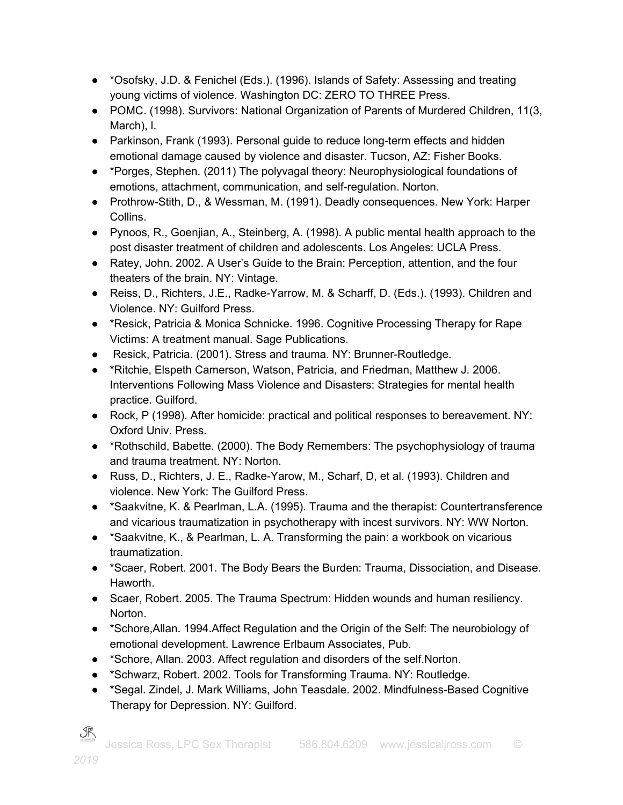- \*Osofsky, J.D. & Fenichel (Eds.). (1996). Islands of Safety: Assessing and treating young victims of violence. Washington DC: ZERO TO THREE Press.
- POMC. (1998). Survivors: National Organization of Parents of Murdered Children, 11(3, March), l.
- Parkinson, Frank (1993). Personal guide to reduce long-term effects and hidden emotional damage caused by violence and disaster. Tucson, AZ: Fisher Books.
- \*Porges, Stephen. (2011) The polyvagal theory: Neurophysiological foundations of emotions, attachment, communication, and self-regulation. Norton.
- Prothrow-Stith, D., & Wessman, M. (1991). Deadly consequences. New York: Harper Collins.
- Pynoos, R., Goenjian, A., Steinberg, A. (1998). A public mental health approach to the post disaster treatment of children and adolescents. Los Angeles: UCLA Press.
- Ratey, John. 2002. A User's Guide to the Brain: Perception, attention, and the four theaters of the brain. NY: Vintage.
- Reiss, D., Richters, J.E., Radke-Yarrow, M. & Scharff, D. (Eds.). (1993). Children and Violence. NY: Guilford Press.
- \*Resick, Patricia & Monica Schnicke. 1996. Cognitive Processing Therapy for Rape Victims: A treatment manual. Sage Publications.
- Resick, Patricia. (2001). Stress and trauma. NY: Brunner-Routledge.
- \*Ritchie, Elspeth Camerson, Watson, Patricia, and Friedman, Matthew J. 2006. Interventions Following Mass Violence and Disasters: Strategies for mental health practice. Guilford.
- Rock, P (1998). After homicide: practical and political responses to bereavement. NY: Oxford Univ. Press.
- \*Rothschild, Babette. (2000). The Body Remembers: The psychophysiology of trauma and trauma treatment. NY: Norton.
- Russ, D., Richters, J. E., Radke-Yarow, M., Scharf, D, et al. (1993). Children and violence. New York: The Guilford Press.
- \*Saakvitne, K. & Pearlman, L.A. (1995). Trauma and the therapist: Countertransference and vicarious traumatization in psychotherapy with incest survivors. NY: WW Norton.
- \*Saakvitne, K., & Pearlman, L. A. Transforming the pain: a workbook on vicarious traumatization.
- \*Scaer, Robert. 2001. The Body Bears the Burden: Trauma, Dissociation, and Disease. Haworth.
- Scaer, Robert. 2005. The Trauma Spectrum: Hidden wounds and human resiliency. Norton.
- \*Schore,Allan. 1994.Affect Regulation and the Origin of the Self: The neurobiology of emotional development. Lawrence Erlbaum Associates, Pub.
- \*Schore, Allan. 2003. Affect regulation and disorders of the self.Norton.
- \*Schwarz, Robert. 2002. Tools for Transforming Trauma. NY: Routledge.
- \*Segal. Zindel, J. Mark Williams, John Teasdale. 2002. Mindfulness-Based Cognitive Therapy for Depression. NY: Guilford.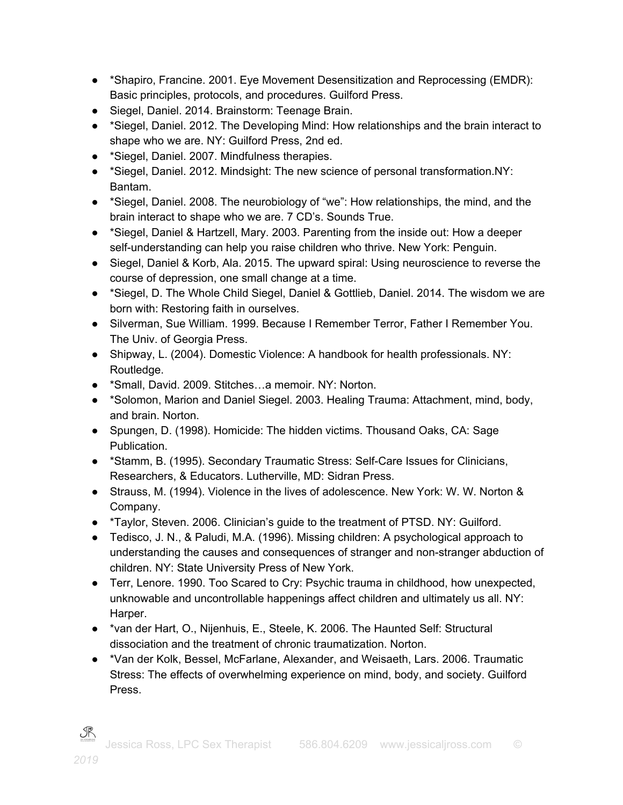- \*Shapiro, Francine. 2001. Eye Movement Desensitization and Reprocessing (EMDR): Basic principles, protocols, and procedures. Guilford Press.
- Siegel, Daniel. 2014. Brainstorm: Teenage Brain.
- \*Siegel, Daniel. 2012. The Developing Mind: How relationships and the brain interact to shape who we are. NY: Guilford Press, 2nd ed.
- \*Siegel, Daniel. 2007. Mindfulness therapies.
- \*Siegel, Daniel. 2012. Mindsight: The new science of personal transformation.NY: Bantam.
- \*Siegel, Daniel. 2008. The neurobiology of "we": How relationships, the mind, and the brain interact to shape who we are. 7 CD's. Sounds True.
- \*Siegel, Daniel & Hartzell, Mary. 2003. Parenting from the inside out: How a deeper self-understanding can help you raise children who thrive. New York: Penguin.
- Siegel, Daniel & Korb, Ala. 2015. The upward spiral: Using neuroscience to reverse the course of depression, one small change at a time.
- \*Siegel, D. The Whole Child Siegel, Daniel & Gottlieb, Daniel. 2014. The wisdom we are born with: Restoring faith in ourselves.
- Silverman, Sue William. 1999. Because I Remember Terror, Father I Remember You. The Univ. of Georgia Press.
- Shipway, L. (2004). Domestic Violence: A handbook for health professionals. NY: Routledge.
- \*Small, David. 2009. Stitches…a memoir. NY: Norton.
- \*Solomon, Marion and Daniel Siegel. 2003. Healing Trauma: Attachment, mind, body, and brain. Norton.
- Spungen, D. (1998). Homicide: The hidden victims. Thousand Oaks, CA: Sage Publication.
- \*Stamm, B. (1995). Secondary Traumatic Stress: Self-Care Issues for Clinicians, Researchers, & Educators. Lutherville, MD: Sidran Press.
- Strauss, M. (1994). Violence in the lives of adolescence. New York: W. W. Norton & Company.
- \*Taylor, Steven. 2006. Clinician's guide to the treatment of PTSD. NY: Guilford.
- Tedisco, J. N., & Paludi, M.A. (1996). Missing children: A psychological approach to understanding the causes and consequences of stranger and non-stranger abduction of children. NY: State University Press of New York.
- Terr, Lenore. 1990. Too Scared to Cry: Psychic trauma in childhood, how unexpected, unknowable and uncontrollable happenings affect children and ultimately us all. NY: Harper.
- \*van der Hart, O., Nijenhuis, E., Steele, K. 2006. The Haunted Self: Structural dissociation and the treatment of chronic traumatization. Norton.
- \*Van der Kolk, Bessel, McFarlane, Alexander, and Weisaeth, Lars. 2006. Traumatic Stress: The effects of overwhelming experience on mind, body, and society. Guilford Press.